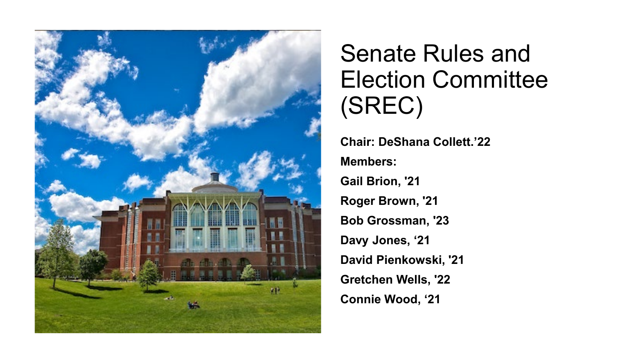

## Senate Rules and Election Committee (SREC)

**Chair: DeShana Collett.'22 Members: Gail Brion, '21 Roger Brown, '21 Bob Grossman, '23 Davy Jones, '21 David Pienkowski, '21 Gretchen Wells, '22 Connie Wood, '21**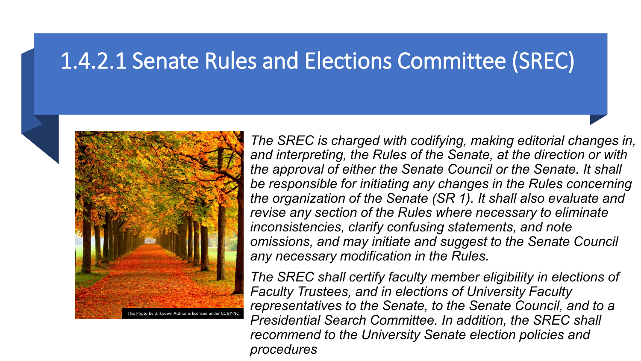### 1.4.2.1 Senate Rules and Elections Committee (SREC)



• *The SREC is charged with codifying, making editorial changes in, and interpreting, the Rules of the Senate, at the direction or with the approval of either the Senate Council or the Senate. It shall be responsible for initiating any changes in the Rules concerning the organization of the Senate (SR 1). It shall also evaluate and revise any section of the Rules where necessary to eliminate inconsistencies, clarify confusing statements, and note omissions, and may initiate and suggest to the Senate Council any necessary modification in the Rules.*

• *The SREC shall certify faculty member eligibility in elections of Faculty Trustees, and in elections of University Faculty representatives to the Senate, to the Senate Council, and to a Presidential Search Committee. In addition, the SREC shall recommend to the University Senate election policies and procedures*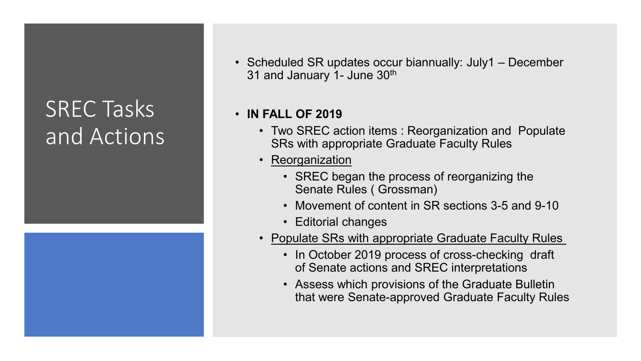## SREC Tasks and Actions



• Scheduled SR updates occur biannually: July1 – December 31 and January 1- June 30<sup>th</sup>

#### • **IN FALL OF 2019**

- Two SREC action items : Reorganization and Populate SRs with appropriate Graduate Faculty Rules
- Reorganization
	- SREC began the process of reorganizing the Senate Rules ( Grossman)
	- Movement of content in SR sections 3-5 and 9-10
	- Editorial changes
- Populate SRs with appropriate Graduate Faculty Rules
	- In October 2019 process of cross-checking draft of Senate actions and SREC interpretations
	- Assess which provisions of the Graduate Bulletin that were Senate-approved Graduate Faculty Rules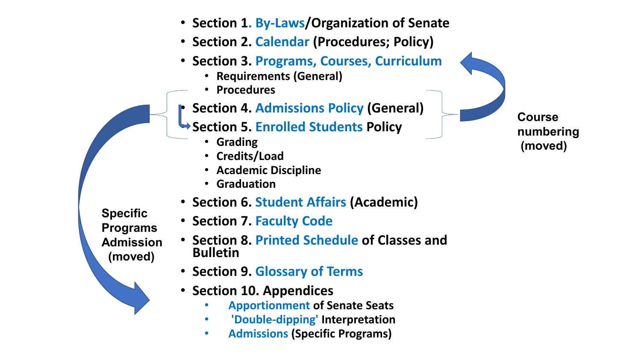- **Section 1 . By -Laws/Organization of Senate**
- **Section 2. Calendar (Procedures; Policy)**
- **Section 3. Programs, Courses, Curriculum**
	- **Requirements (General)**
	- **Procedures**
- **Section 4. Admissions Policy (General)**
- **Section 5. Enrolled Students Policy**
	- **Grading**
	- **Credits/Load**
	- **Academic Discipline**
	- **Graduation**
- **Section 6. Student Affairs (Academic)**

**Specific Programs Admission (moved)** 

- **Section 7. Faculty Code**
- **Section 8. Printed Schedule of Classes and Bulletin**
- **Section 9. Glossary of Terms**
- **Section 10. Appendices**
	- **Apportionment of Senate Seats**
	- **'Double-dipping' Interpretation**
	- **Admissions (Specific Programs)**

**Course numbering (moved)**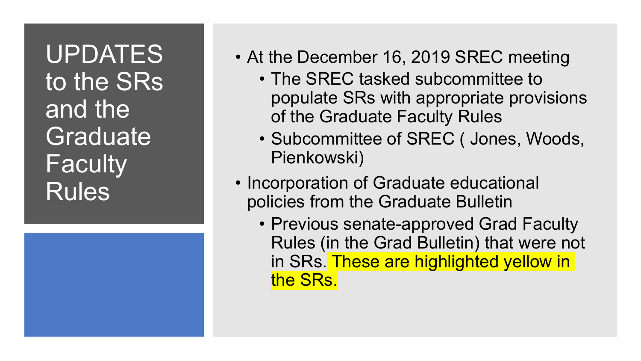UPDATES to the SRs and the **Graduate Faculty** Rules

- At the December 16, 2019 SREC meeting
	- The SREC tasked subcommittee to populate SRs with appropriate provisions of the Graduate Faculty Rules
	- Subcommittee of SREC ( Jones, Woods, Pienkowski)
- Incorporation of Graduate educational policies from the Graduate Bulletin
	- Previous senate-approved Grad Faculty Rules (in the Grad Bulletin) that were not in SRs. These are highlighted yellow in the SRs.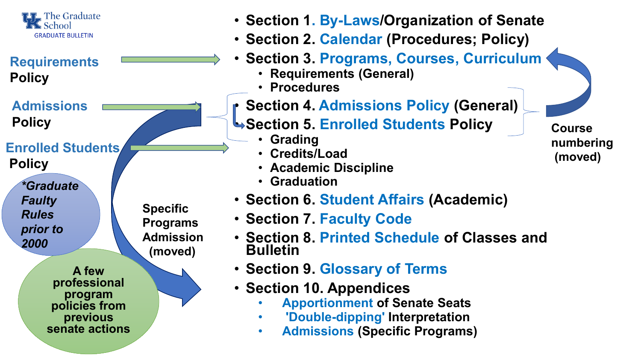

#### **Requirements Policy**

**Admissions Policy**

**Enrolled Students**

**Policy**

*\*Graduate Faulty Rules prior to 2000*

> **A few professional program policies from previous senate actions**

**Specific Programs Admission (moved)** 

• **Section 1. By-Laws/Organization of Senate**

- **Section 2. Calendar (Procedures; Policy)**
- **Section 3. Programs, Courses, Curriculum**
	- **Requirements (General)**
	- **Procedures**
- **Section 4. Admissions Policy (General)**
- **Section 5. Enrolled Students Policy**
	- **Grading**
	- **Credits/Load**
	- **Academic Discipline**
	- **Graduation**
- **Section 6. Student Affairs (Academic)**
- **Section 7. Faculty Code**
- **Section 8. Printed Schedule of Classes and Bulletin**
- **Section 9. Glossary of Terms**
- **Section 10. Appendices**
	- **Apportionment of Senate Seats**
	- **'Double-dipping' Interpretation**
	- **Admissions (Specific Programs)**

**Course numbering (moved)**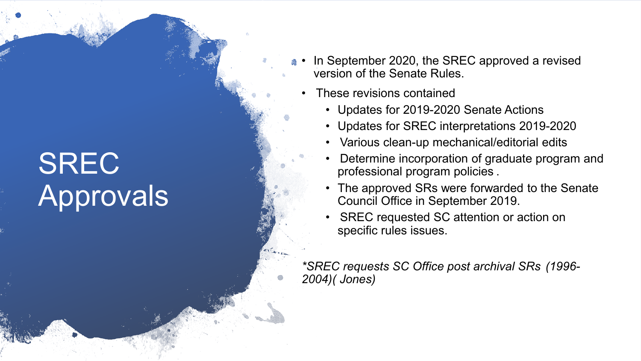# SREC Approvals

- In September 2020, the SREC approved a revised version of the Senate Rules.
- These revisions contained
	- Updates for 2019-2020 Senate Actions
	- Updates for SREC interpretations 2019-2020
	- Various clean-up mechanical/editorial edits
	- Determine incorporation of graduate program and professional program policies .
	- The approved SRs were forwarded to the Senate Council Office in September 2019.
	- SREC requested SC attention or action on specific rules issues.

*\*SREC requests SC Office post archival SRs (1996- 2004)( Jones)*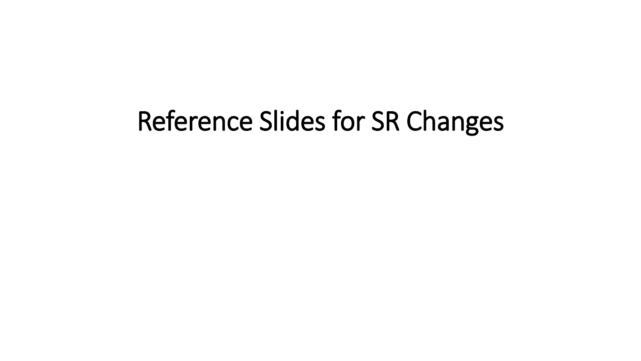# Reference Slides for SR Changes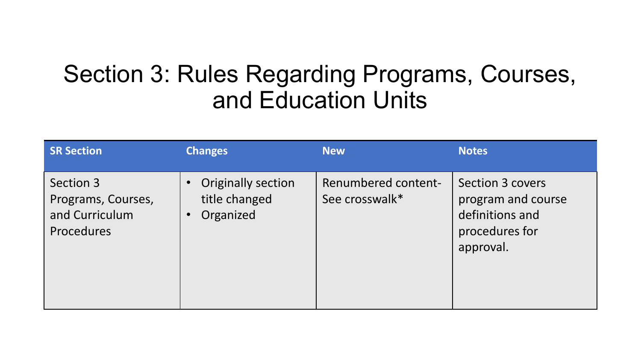## Section 3: Rules Regarding Programs, Courses, and Education Units

| <b>SR Section</b>                                                      | <b>Changes</b>                                                                    | <b>New</b>                                   | <b>Notes</b>                                                                             |
|------------------------------------------------------------------------|-----------------------------------------------------------------------------------|----------------------------------------------|------------------------------------------------------------------------------------------|
| Section 3<br>Programs, Courses,<br>and Curriculum<br><b>Procedures</b> | <b>Originally section</b><br>$\bullet$<br>title changed<br>Organized<br>$\bullet$ | <b>Renumbered content-</b><br>See crosswalk* | Section 3 covers<br>program and course<br>definitions and<br>procedures for<br>approval. |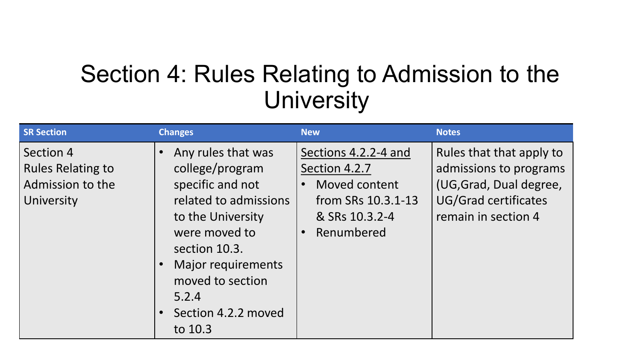## Section 4: Rules Relating to Admission to the **University**

| <b>SR Section</b>                                                       | <b>Changes</b>                                                                                                                                                                                                                        | <b>New</b>                                                                                                   | <b>Notes</b>                                                                                                                        |
|-------------------------------------------------------------------------|---------------------------------------------------------------------------------------------------------------------------------------------------------------------------------------------------------------------------------------|--------------------------------------------------------------------------------------------------------------|-------------------------------------------------------------------------------------------------------------------------------------|
| Section 4<br><b>Rules Relating to</b><br>Admission to the<br>University | Any rules that was<br>college/program<br>specific and not<br>related to admissions<br>to the University<br>were moved to<br>section 10.3.<br><b>Major requirements</b><br>moved to section<br>5.2.4<br>Section 4.2.2 moved<br>to 10.3 | Sections 4.2.2-4 and<br>Section 4.2.7<br>Moved content<br>from SRs 10.3.1-13<br>& SRs 10.3.2-4<br>Renumbered | Rules that that apply to<br>admissions to programs<br>(UG, Grad, Dual degree,<br><b>UG/Grad certificates</b><br>remain in section 4 |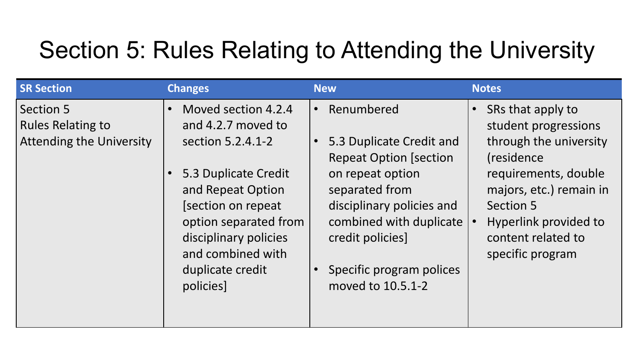# Section 5: Rules Relating to Attending the University

| <b>SR Section</b>                                                        | <b>Changes</b>                                                                                                                                                                                                                             | <b>New</b>                                                                                                                                                                                                                                 | <b>Notes</b>                                                                                                                                                                                                                              |
|--------------------------------------------------------------------------|--------------------------------------------------------------------------------------------------------------------------------------------------------------------------------------------------------------------------------------------|--------------------------------------------------------------------------------------------------------------------------------------------------------------------------------------------------------------------------------------------|-------------------------------------------------------------------------------------------------------------------------------------------------------------------------------------------------------------------------------------------|
| Section 5<br><b>Rules Relating to</b><br><b>Attending the University</b> | Moved section 4.2.4<br>and 4.2.7 moved to<br>section 5.2.4.1-2<br>5.3 Duplicate Credit<br>and Repeat Option<br>[section on repeat]<br>option separated from<br>disciplinary policies<br>and combined with<br>duplicate credit<br>policies] | Renumbered<br>5.3 Duplicate Credit and<br><b>Repeat Option [section</b><br>on repeat option<br>separated from<br>disciplinary policies and<br>combined with duplicate<br>credit policies]<br>Specific program polices<br>moved to 10.5.1-2 | SRs that apply to<br>$\bullet$<br>student progressions<br>through the university<br>(residence)<br>requirements, double<br>majors, etc.) remain in<br><b>Section 5</b><br>Hyperlink provided to<br>content related to<br>specific program |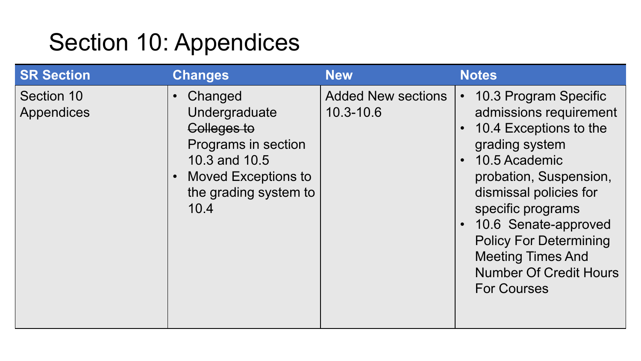# Section 10: Appendices

| <b>SR Section</b>        | <b>Changes</b>                                                                                                                                              | <b>New</b>                                 | <b>Notes</b>                                                                                                                                                                                                                                                                                                                                                             |
|--------------------------|-------------------------------------------------------------------------------------------------------------------------------------------------------------|--------------------------------------------|--------------------------------------------------------------------------------------------------------------------------------------------------------------------------------------------------------------------------------------------------------------------------------------------------------------------------------------------------------------------------|
| Section 10<br>Appendices | Changed<br>$\bullet$<br>Undergraduate<br>Colleges to<br>Programs in section<br>10.3 and 10.5<br><b>Moved Exceptions to</b><br>the grading system to<br>10.4 | <b>Added New sections</b><br>$10.3 - 10.6$ | 10.3 Program Specific<br>$\bullet$<br>admissions requirement<br>10.4 Exceptions to the<br>$\bullet$<br>grading system<br>10.5 Academic<br>$\bullet$<br>probation, Suspension,<br>dismissal policies for<br>specific programs<br>10.6 Senate-approved<br><b>Policy For Determining</b><br><b>Meeting Times And</b><br><b>Number Of Credit Hours</b><br><b>For Courses</b> |